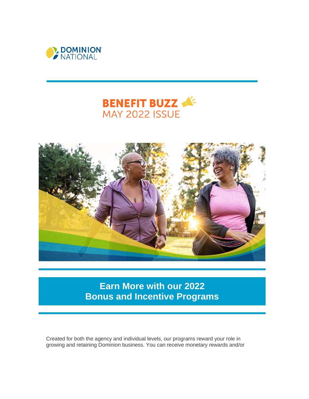





**Earn More with our 2022 Bonus and Incentive Programs**

Created for both the agency and individual levels, our programs reward your role in growing and retaining Dominion business. You can receive monetary rewards and/or